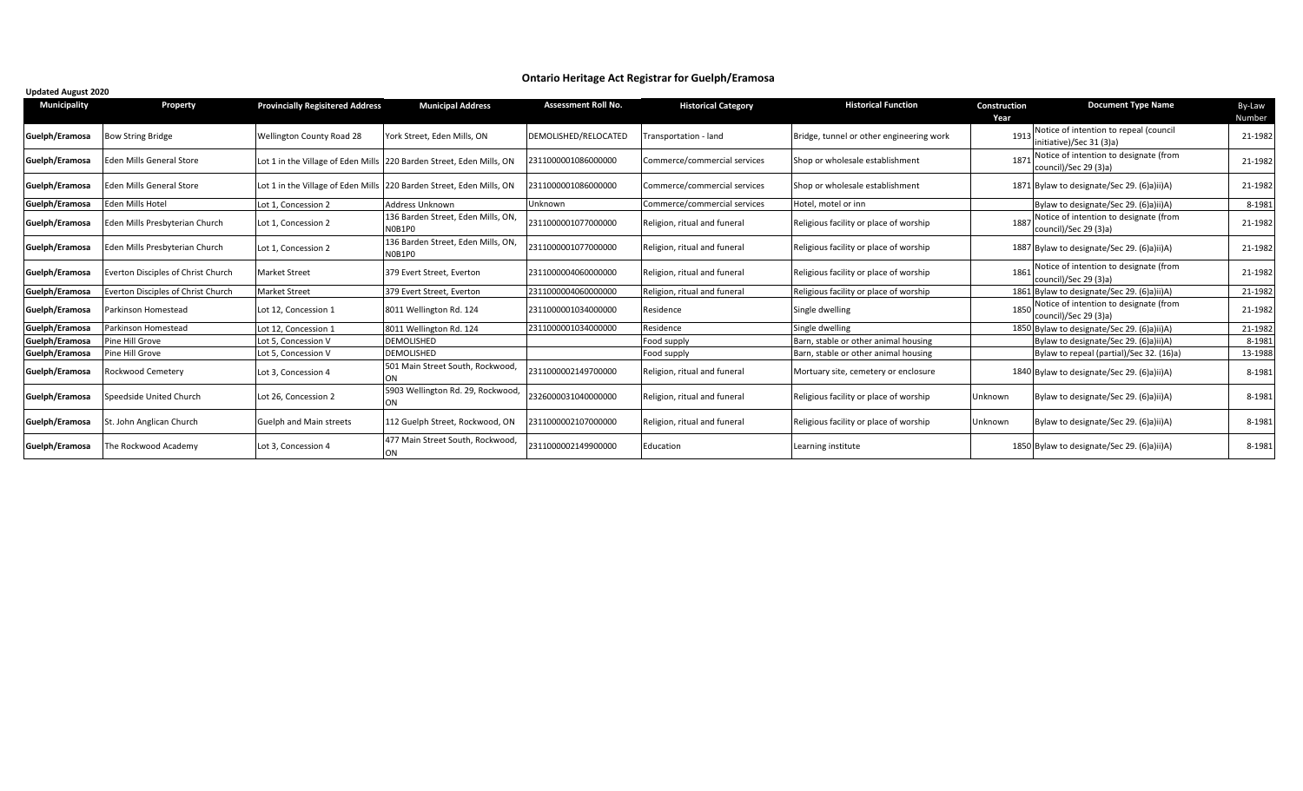## **Ontario Heritage Act Registrar for Guelph/Eramosa**

| <b>Municipality</b> | Property                           | <b>Provincially Regisitered Address</b> | <b>Municipal Address</b>                                             | <b>Assessment Roll No.</b> | <b>Historical Category</b>   | <b>Historical Function</b>               | Construction<br>Year | <b>Document Type Name</b>                                          | By-Law<br>Number |
|---------------------|------------------------------------|-----------------------------------------|----------------------------------------------------------------------|----------------------------|------------------------------|------------------------------------------|----------------------|--------------------------------------------------------------------|------------------|
| Guelph/Eramosa      | <b>Bow String Bridge</b>           | <b>Wellington County Road 28</b>        | York Street, Eden Mills, ON                                          | DEMOLISHED/RELOCATED       | Transportation - land        | Bridge, tunnel or other engineering work | 191                  | Notice of intention to repeal (council<br>initiative)/Sec 31 (3)a) | 21-1982          |
| Guelph/Eramosa      | Eden Mills General Store           |                                         | Lot 1 in the Village of Eden Mills 220 Barden Street, Eden Mills, ON | 2311000001086000000        | Commerce/commercial services | Shop or wholesale establishment          | 187 <sup>2</sup>     | Notice of intention to designate (from<br>council)/Sec 29 (3)a)    | 21-1982          |
| Guelph/Eramosa      | <b>Eden Mills General Store</b>    |                                         | Lot 1 in the Village of Eden Mills 220 Barden Street, Eden Mills, ON | 2311000001086000000        | Commerce/commercial services | Shop or wholesale establishment          |                      | 1871 Bylaw to designate/Sec 29. (6)a)ii)A)                         | 21-1982          |
| Guelph/Eramosa      | <b>Eden Mills Hotel</b>            | Lot 1. Concession 2                     | Address Unknown                                                      | <b>Unknown</b>             | Commerce/commercial services | Hotel, motel or inn                      |                      | Bylaw to designate/Sec 29. (6)a)ii)A)                              | 8-198            |
| Guelph/Eramosa      | Eden Mills Presbyterian Church     | Lot 1, Concession 2                     | 136 Barden Street, Eden Mills, ON,<br>N0B1P0                         | 2311000001077000000        | Religion, ritual and funeral | Religious facility or place of worship   | 188                  | Notice of intention to designate (from<br>council)/Sec 29 (3)a)    | 21-1982          |
| Guelph/Eramosa      | Eden Mills Presbyterian Church     | Lot 1, Concession 2                     | 136 Barden Street, Eden Mills, ON,<br>N0B1P0                         | 2311000001077000000        | Religion, ritual and funeral | Religious facility or place of worship   |                      | 1887 Bylaw to designate/Sec 29. (6)a)ii)A)                         | 21-1982          |
| Guelph/Eramosa      | Everton Disciples of Christ Church | <b>Market Street</b>                    | 379 Evert Street, Everton                                            | 2311000004060000000        | Religion, ritual and funeral | Religious facility or place of worship   | 1861                 | Notice of intention to designate (from<br>council)/Sec 29 (3)a)    | 21-1982          |
| Guelph/Eramosa      | Everton Disciples of Christ Church | <b>Market Street</b>                    | 379 Evert Street, Everton                                            | 2311000004060000000        | Religion, ritual and funeral | Religious facility or place of worship   |                      | 1861 Bylaw to designate/Sec 29. (6)a)ii)A)                         | 21-1982          |
| Guelph/Eramosa      | Parkinson Homestead                | Lot 12, Concession 1                    | 8011 Wellington Rd. 124                                              | 2311000001034000000        | Residence                    | Single dwelling                          | 1850                 | Notice of intention to designate (from<br>council)/Sec 29 (3)a)    | 21-1982          |
| Guelph/Eramosa      | Parkinson Homestead                | Lot 12, Concession 1                    | 8011 Wellington Rd. 124                                              | 2311000001034000000        | Residence                    | Single dwelling                          |                      | 1850 Bylaw to designate/Sec 29. (6)a)ii)A)                         | 21-1982          |
| Guelph/Eramosa      | Pine Hill Grove                    | Lot 5, Concession V                     | DEMOLISHED                                                           |                            | Food supply                  | Barn, stable or other animal housing     |                      | Bylaw to designate/Sec 29. (6)a)ii)A)                              | 8-1983           |
| Guelph/Eramosa      | Pine Hill Grove                    | Lot 5, Concession V                     | DEMOLISHED                                                           |                            | Food supply                  | Barn, stable or other animal housing     |                      | Bylaw to repeal (partial)/Sec 32. (16)a)                           | 13-1988          |
| Guelph/Eramosa      | Rockwood Cemetery                  | Lot 3, Concession 4                     | 501 Main Street South, Rockwood,                                     | 2311000002149700000        | Religion, ritual and funeral | Mortuary site, cemetery or enclosure     |                      | 1840 Bylaw to designate/Sec 29. (6)a)ii)A)                         | 8-1981           |
| Guelph/Eramosa      | Speedside United Church            | Lot 26, Concession 2                    | 5903 Wellington Rd. 29, Rockwood,<br>ON                              | 2326000031040000000        | Religion, ritual and funeral | Religious facility or place of worship   | Unknown              | Bylaw to designate/Sec 29. (6)a)ii)A)                              | 8-1981           |
| Guelph/Eramosa      | St. John Anglican Church           | Guelph and Main streets                 | 112 Guelph Street, Rockwood, ON                                      | 2311000002107000000        | Religion, ritual and funeral | Religious facility or place of worship   | Unknown              | Bylaw to designate/Sec 29. (6)a)ii)A)                              | 8-1981           |
| Guelph/Eramosa      | The Rockwood Academy               | Lot 3, Concession 4                     | 477 Main Street South, Rockwood,                                     | 2311000002149900000        | Education                    | Learning institute                       |                      | 1850 Bylaw to designate/Sec 29. (6)a)ii)A)                         | 8-1981           |